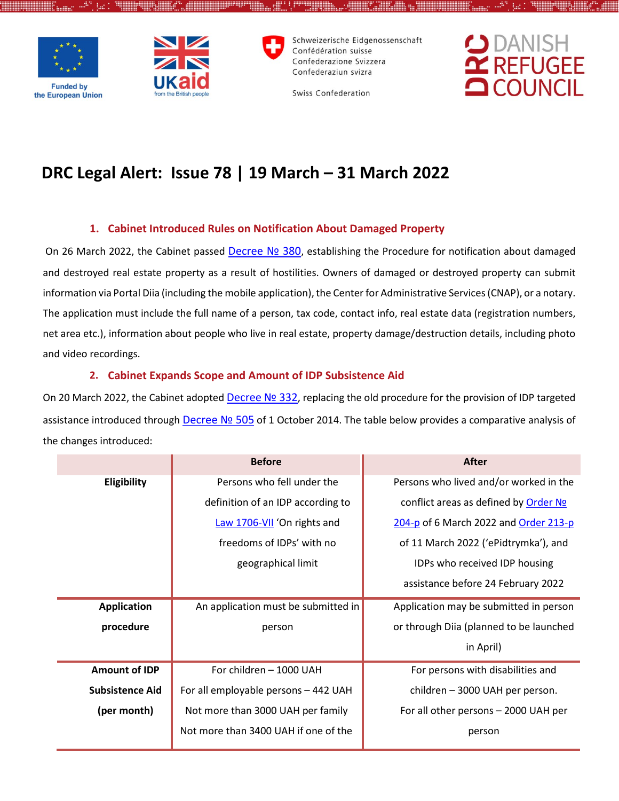



Schweizerische Eidgenossenschaft Confédération suisse Confederazione Svizzera Confederaziun svizra



Swiss Confederation

# **DRC Legal Alert: Issue 78 | 19 March – 31 March 2022**

# **1. Cabinet Introduced Rules on Notification About Damaged Property**

On 26 March 2022, the Cabinet passed [Decree](https://zakon.rada.gov.ua/laws/show/380-2022-%D0%BF#Text) Nº 380, establishing the Procedure for notification about damaged and destroyed real estate property as a result of hostilities. Owners of damaged or destroyed property can submit information via Portal Diia (including the mobile application), the Center for Administrative Services (CNAP), or a notary. The application must include the full name of a person, tax code, contact info, real estate data (registration numbers, net area etc.), information about people who live in real estate, property damage/destruction details, including photo and video recordings.

# **2. Cabinet Expands Scope and Amount of IDP Subsistence Aid**

On 20 March 2022, the Cabinet adopted Decree Nº 332, replacing the old procedure for the provision of IDP targeted assistance introduced through Decree Nº 505 of 1 October 2014. The table below provides a comparative analysis of the changes introduced:

| Persons who fell under the<br>Persons who lived and/or worked in the<br><b>Eligibility</b>          |
|-----------------------------------------------------------------------------------------------------|
|                                                                                                     |
| definition of an IDP according to<br>conflict areas as defined by Order No                          |
| Law 1706-VII 'On rights and<br>204-p of 6 March 2022 and Order 213-p                                |
| freedoms of IDPs' with no<br>of 11 March 2022 ('ePidtrymka'), and                                   |
| geographical limit<br>IDPs who received IDP housing                                                 |
| assistance before 24 February 2022                                                                  |
| An application must be submitted in<br><b>Application</b><br>Application may be submitted in person |
| procedure<br>or through Diia (planned to be launched<br>person                                      |
| in April)                                                                                           |
| <b>Amount of IDP</b><br>For children - 1000 UAH<br>For persons with disabilities and                |
| <b>Subsistence Aid</b><br>For all employable persons - 442 UAH<br>children - 3000 UAH per person.   |
| (per month)<br>Not more than 3000 UAH per family<br>For all other persons - 2000 UAH per            |
| Not more than 3400 UAH if one of the<br>person                                                      |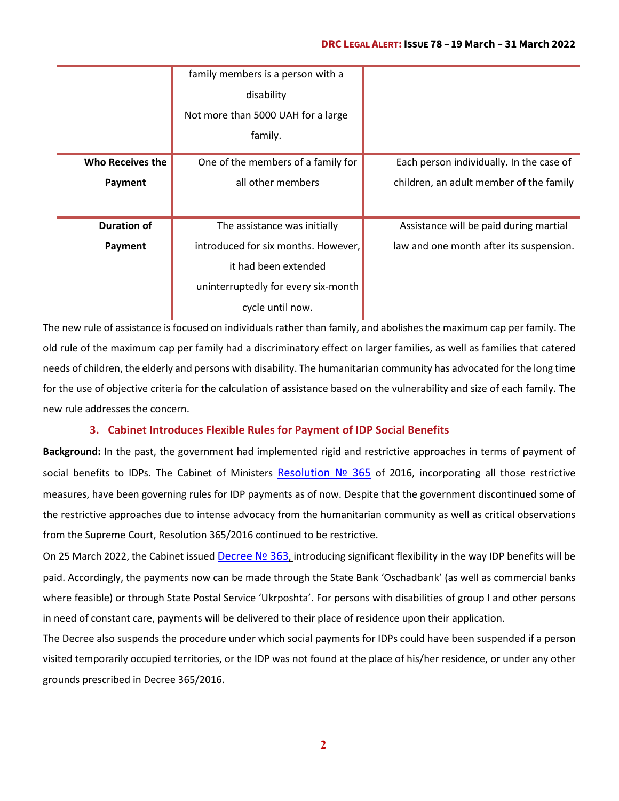### **DRC LEGAL ALERT: ISSUE 78 – 19 March – 31 March 2022**

|                         | family members is a person with a   |                                          |
|-------------------------|-------------------------------------|------------------------------------------|
|                         | disability                          |                                          |
|                         | Not more than 5000 UAH for a large  |                                          |
|                         | family.                             |                                          |
| <b>Who Receives the</b> | One of the members of a family for  | Each person individually. In the case of |
| Payment                 | all other members                   | children, an adult member of the family  |
|                         |                                     |                                          |
| <b>Duration of</b>      | The assistance was initially        | Assistance will be paid during martial   |
| Payment                 | introduced for six months. However, | law and one month after its suspension.  |
|                         | it had been extended                |                                          |
|                         | uninterruptedly for every six-month |                                          |
|                         | cycle until now.                    |                                          |

The new rule of assistance is focused on individuals rather than family, and abolishes the maximum cap per family. The old rule of the maximum cap per family had a discriminatory effect on larger families, as well as families that catered needs of children, the elderly and persons with disability. The humanitarian community has advocated for the long time for the use of objective criteria for the calculation of assistance based on the vulnerability and size of each family. The new rule addresses the concern.

## **3. Cabinet Introduces Flexible Rules for Payment of IDP Social Benefits**

**Background:** In the past, the government had implemented rigid and restrictive approaches in terms of payment of social benefits to IDPs. The Cabinet of Ministers [Resolution](https://zakon.rada.gov.ua/laws/show/365-2016-%D0%BF#Text) Nº 365 of 2016, incorporating all those restrictive measures, have been governing rules for IDP payments as of now. Despite that the government discontinued some of the restrictive approaches due to intense advocacy from the humanitarian community as well as critical observations from the Supreme Court, Resolution 365/2016 continued to be restrictive.

On 25 March 2022, the Cabinet issued [Decree](https://zakon.rada.gov.ua/laws/show/363-2022-%D0%BF#Text) Nº 363, introducing significant flexibility in the way IDP benefits will be paid. Accordingly, the payments now can be made through the State Bank 'Oschadbank' (as well as commercial banks where feasible) or through State Postal Service 'Ukrposhta'. For persons with disabilities of group I and other persons in need of constant care, payments will be delivered to their place of residence upon their application.

The Decree also suspends the procedure under which social payments for IDPs could have been suspended if a person visited temporarily occupied territories, or the IDP was not found at the place of his/her residence, or under any other grounds prescribed in Decree 365/2016.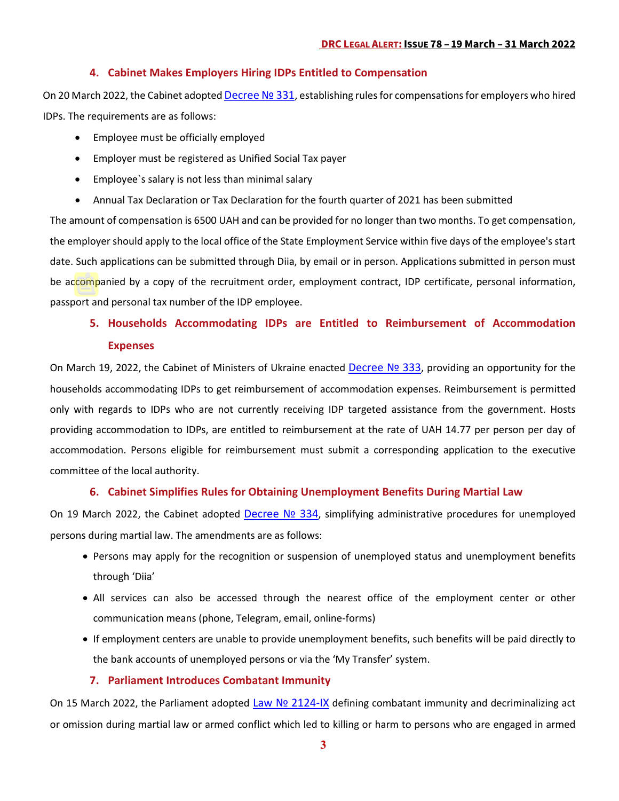#### **4. Cabinet Makes Employers Hiring IDPs Entitled to Compensation**

On 20 March 2022, the Cabinet adopted Decree Nº 331, establishing rules for compensations for employers who hired IDPs. The requirements are as follows:

- Employee must be officially employed
- Employer must be registered as Unified Social Tax payer
- Employee`s salary is not less than minimal salary
- Annual Tax Declaration or Tax Declaration for the fourth quarter of 2021 has been submitted

The amount of compensation is 6500 UAH and can be provided for no longer than two months. To get compensation, the employer should apply to the local office of the State Employment Service within five days of the employee's start date. Such applications can be submitted through Diia, by email or in person. Applications submitted in person must be accompanied by a copy of the recruitment order, employment contract, IDP certificate, personal information, passport and personal tax number of the IDP employee.

# **5. Households Accommodating IDPs are Entitled to Reimbursement of Accommodation Expenses**

On March 19, 2022, the Cabinet of Ministers of Ukraine enacted [Decree № 333](https://www.kmu.gov.ua/npas/pro-zatverdzhennya-poryadku-kompensaciyi-vitrat-za-timchasove-rozmishchennya-vnutrishno-peremishchenih-osib-yaki-peremistilisya-u-period-voyennogo-stanu-i-ne-333), providing an opportunity for the households accommodating IDPs to get reimbursement of accommodation expenses. Reimbursement is permitted only with regards to IDPs who are not currently receiving IDP targeted assistance from the government. Hosts providing accommodation to IDPs, are entitled to reimbursement at the rate of UAH 14.77 per person per day of accommodation. Persons eligible for reimbursement must submit a corresponding application to the executive committee of the local authority.

## **6. Cabinet Simplifies Rules for Obtaining Unemployment Benefits During Martial Law**

On 19 March 2022, the Cabinet adopted Decree Nº 334, simplifying administrative procedures for unemployed persons during martial law. The amendments are as follows:

- Persons may apply for the recognition or suspension of unemployed status and unemployment benefits through 'Diia'
- All services can also be accessed through the nearest office of the employment center or other communication means (phone, Telegram, email, online-forms)
- If employment centers are unable to provide unemployment benefits, such benefits will be paid directly to the bank accounts of unemployed persons or via the 'My Transfer' system.

#### **7. Parliament Introduces Combatant Immunity**

On 15 March 2022, the Parliament adopted Law Nº 2124-IX defining combatant immunity and decriminalizing act or omission during martial law or armed conflict which led to killing or harm to persons who are engaged in armed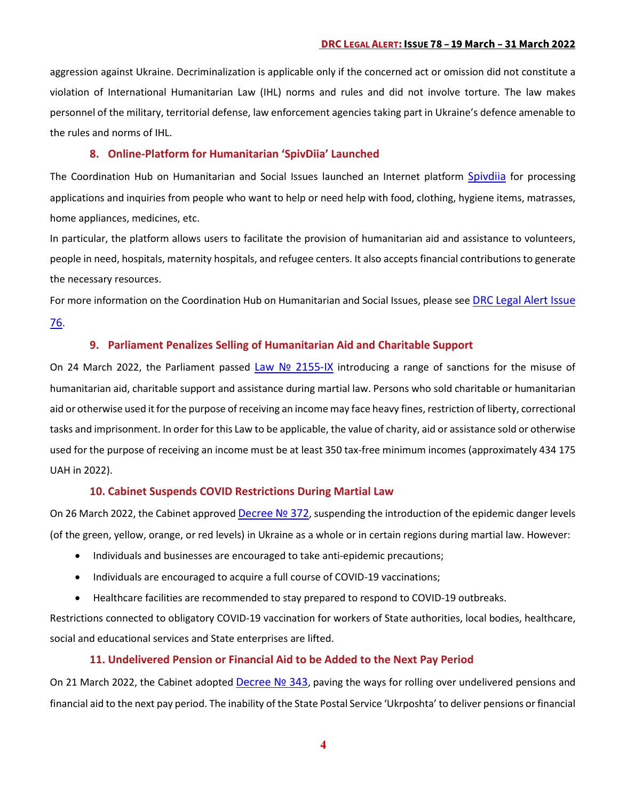aggression against Ukraine. Decriminalization is applicable only if the concerned act or omission did not constitute a violation of International Humanitarian Law (IHL) norms and rules and did not involve torture. The law makes personnel of the military, territorial defense, law enforcement agencies taking part in Ukraine's defence amenable to the rules and norms of IHL.

#### **8. Online-Platform for Humanitarian 'SpivDiia' Launched**

The Coordination Hub on Humanitarian and Social Issues launched an Internet platform [Spivdiia](https://spivdiia.org.ua/#whom) for processing applications and inquiries from people who want to help or need help with food, clothing, hygiene items, matrasses, home appliances, medicines, etc.

In particular, the platform allows users to facilitate the provision of humanitarian aid and assistance to volunteers, people in need, hospitals, maternity hospitals, and refugee centers. It also accepts financial contributions to generate the necessary resources.

For more information on the Coordination Hub on Humanitarian and Social Issues, please se[e DRC Legal Alert Issue](https://reliefweb.int/sites/reliefweb.int/files/resources/drc_legal_alert_29feb-9march_eng.pdf) 

[76.](https://reliefweb.int/sites/reliefweb.int/files/resources/drc_legal_alert_29feb-9march_eng.pdf)

### **9. Parliament Penalizes Selling of Humanitarian Aid and Charitable Support**

On 24 March 2022, the Parliament passed Law Nº 2155-IX introducing a range of sanctions for the misuse of humanitarian aid, charitable support and assistance during martial law. Persons who sold charitable or humanitarian aid or otherwise used it for the purpose of receiving an income may face heavy fines, restriction of liberty, correctional tasks and imprisonment. In order for this Law to be applicable, the value of charity, aid or assistance sold or otherwise used for the purpose of receiving an income must be at least 350 tax-free minimum incomes (approximately 434 175 UAH in 2022).

#### **10. Cabinet Suspends COVID Restrictions During Martial Law**

On 26 March 2022, the Cabinet approve[d Decree](https://www.kmu.gov.ua/npas/pro-vnesennya-zmin-do-postanovi-kabinetu-ministriv-ukrayini-vid-9-grudnya-2020-r-1236-372) Nº 372, suspending the introduction of the epidemic danger levels (of the green, yellow, orange, or red levels) in Ukraine as a whole or in certain regions during martial law. However:

- Individuals and businesses are encouraged to take anti-epidemic precautions;
- Individuals are encouraged to acquire a full course of COVID-19 vaccinations;
- Healthcare facilities are recommended to stay prepared to respond to COVID-19 outbreaks.

Restrictions connected to obligatory COVID-19 vaccination for workers of State authorities, local bodies, healthcare, social and educational services and State enterprises are lifted.

#### **11. Undelivered Pension or Financial Aid to be Added to the Next Pay Period**

On 21 March 2022, the Cabinet adopted [Decree](https://www.kmu.gov.ua/npas/pro-vnesennya-zmin-do-postanovi-kabinetu-ministriv-ukrayini-vid-26-lyutogo-2022-r-162-343) Nº 343, paving the ways for rolling over undelivered pensions and financial aid to the next pay period. The inability of the State Postal Service 'Ukrposhta' to deliver pensions or financial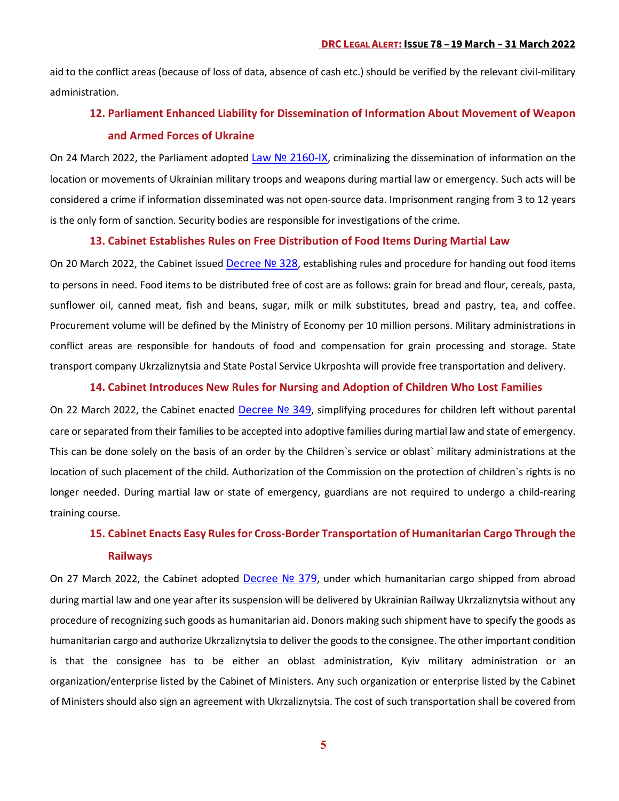aid to the conflict areas (because of loss of data, absence of cash etc.) should be verified by the relevant civil-military administration.

# **12. Parliament Enhanced Liability for Dissemination of Information About Movement of Weapon and Armed Forces of Ukraine**

On 24 March 2022, the Parliament adopted Law Nº 2160-IX, criminalizing the dissemination of information on the location or movements of Ukrainian military troops and weapons during martial law or emergency. Such acts will be considered a crime if information disseminated was not open-source data. Imprisonment ranging from 3 to 12 years is the only form of sanction. Security bodies are responsible for investigations of the crime.

#### **13. Cabinet Establishes Rules on Free Distribution of Food Items During Martial Law**

On 20 March 2022, the Cabinet issued [Decree](https://www.kmu.gov.ua/npas/deyaki-pitannya-zabezpechennya-naselennya-prodovolchimi-tovarami-trivalogo-zberigannya-v-umovah-voyennogo-stanu-328) Nº 328, establishing rules and procedure for handing out food items to persons in need. Food items to be distributed free of cost are as follows: grain for bread and flour, cereals, pasta, sunflower oil, canned meat, fish and beans, sugar, milk or milk substitutes, bread and pastry, tea, and coffee. Procurement volume will be defined by the Ministry of Economy per 10 million persons. Military administrations in conflict areas are responsible for handouts of food and compensation for grain processing and storage. State transport company Ukrzaliznytsia and State Postal Service Ukrposhta will provide free transportation and delivery.

#### **14. Cabinet Introduces New Rules for Nursing and Adoption of Children Who Lost Families**

On 22 March 2022, the Cabinet enacted Decree Nº 349, simplifying procedures for children left without parental care or separated from their families to be accepted into adoptive families during martial law and state of emergency. This can be done solely on the basis of an order by the Children`s service or oblast` military administrations at the location of such placement of the child. Authorization of the Commission on the protection of children`s rights is no longer needed. During martial law or state of emergency, guardians are not required to undergo a child-rearing training course.

# **15. Cabinet Enacts Easy Rules for Cross-Border Transportation of Humanitarian Cargo Through the Railways**

On 27 March 2022, the Cabinet adopted [Decree](https://www.kmu.gov.ua/npas/pro-osoblivosti-zdijsnennya-gumanitarnoyi-dopomogi-yaka-perevozitsya-zaliznichnim-transportom-v-umovah-voyennogo-stanu-379) Nº 379, under which humanitarian cargo shipped from abroad during martial law and one year after its suspension will be delivered by Ukrainian Railway Ukrzaliznytsia without any procedure of recognizing such goods as humanitarian aid. Donors making such shipment have to specify the goods as humanitarian cargo and authorize Ukrzaliznytsia to deliver the goods to the consignee. The other important condition is that the consignee has to be either an oblast administration, Kyiv military administration or an organization/enterprise listed by the Cabinet of Ministers. Any such organization or enterprise listed by the Cabinet of Ministers should also sign an agreement with Ukrzaliznytsia. The cost of such transportation shall be covered from